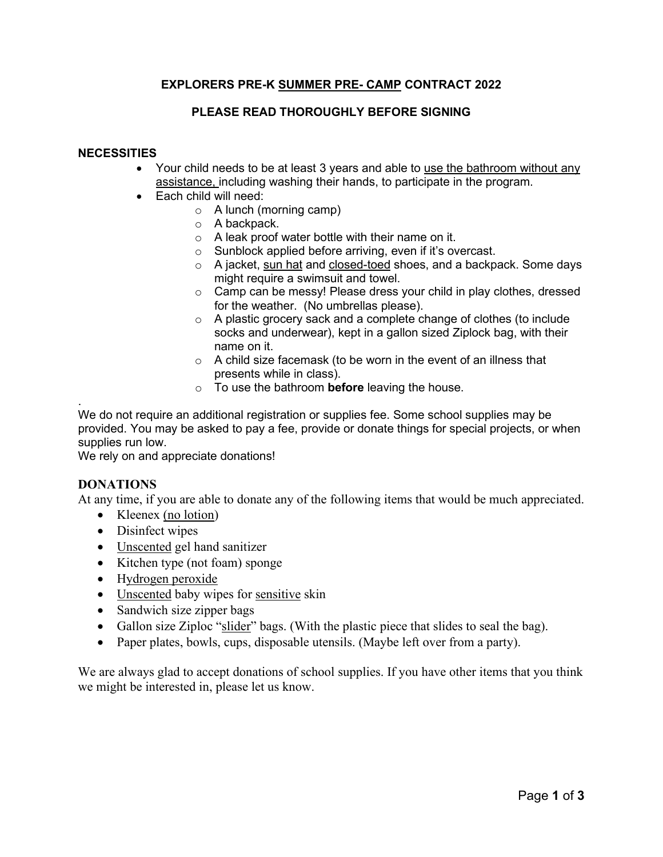# **EXPLORERS PRE-K SUMMER PRE- CAMP CONTRACT 2022**

## **PLEASE READ THOROUGHLY BEFORE SIGNING**

### **NECESSITIES**

- Your child needs to be at least 3 years and able to use the bathroom without any assistance, including washing their hands, to participate in the program.
- Each child will need:
	- o A lunch (morning camp)
	- o A backpack.
	- $\circ$  A leak proof water bottle with their name on it.
	- o Sunblock applied before arriving, even if it's overcast.
	- o A jacket, sun hat and closed-toed shoes, and a backpack. Some days might require a swimsuit and towel.
	- o Camp can be messy! Please dress your child in play clothes, dressed for the weather. (No umbrellas please).
	- o A plastic grocery sack and a complete change of clothes (to include socks and underwear), kept in a gallon sized Ziplock bag, with their name on it.
	- o A child size facemask (to be worn in the event of an illness that presents while in class).
	- o To use the bathroom **before** leaving the house.

. We do not require an additional registration or supplies fee. Some school supplies may be provided. You may be asked to pay a fee, provide or donate things for special projects, or when supplies run low.

We rely on and appreciate donations!

### **DONATIONS**

At any time, if you are able to donate any of the following items that would be much appreciated.

- Kleenex (no lotion)
- Disinfect wipes
- Unscented gel hand sanitizer
- Kitchen type (not foam) sponge
- Hydrogen peroxide
- Unscented baby wipes for sensitive skin
- Sandwich size zipper bags
- Gallon size Ziploc "slider" bags. (With the plastic piece that slides to seal the bag).
- Paper plates, bowls, cups, disposable utensils. (Maybe left over from a party).

We are always glad to accept donations of school supplies. If you have other items that you think we might be interested in, please let us know.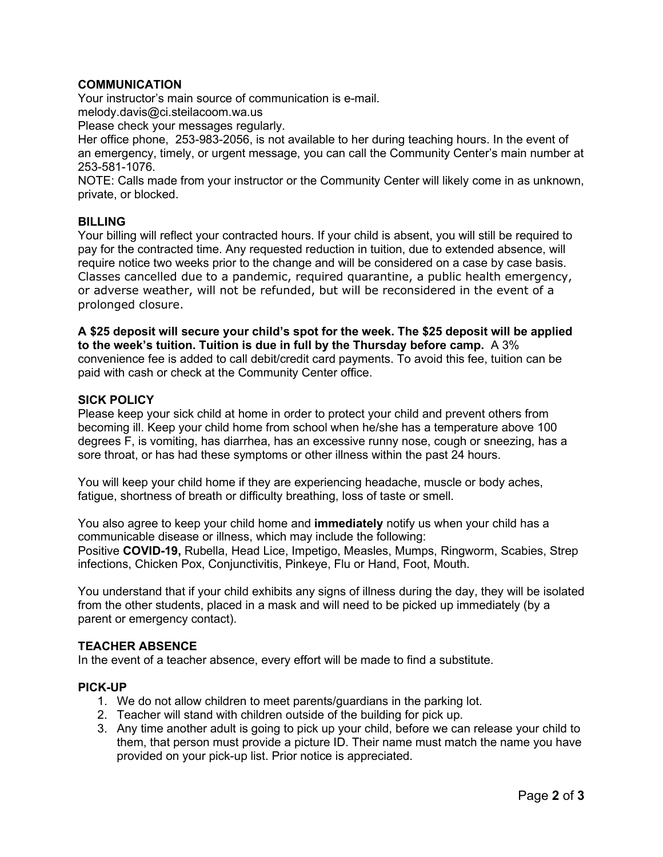## **COMMUNICATION**

Your instructor's main source of communication is e-mail. melody.davis@ci.steilacoom.wa.us

Please check your messages regularly.

Her office phone, 253-983-2056, is not available to her during teaching hours. In the event of an emergency, timely, or urgent message, you can call the Community Center's main number at 253-581-1076.

NOTE: Calls made from your instructor or the Community Center will likely come in as unknown, private, or blocked.

### **BILLING**

Your billing will reflect your contracted hours. If your child is absent, you will still be required to pay for the contracted time. Any requested reduction in tuition, due to extended absence, will require notice two weeks prior to the change and will be considered on a case by case basis. Classes cancelled due to a pandemic, required quarantine, a public health emergency, or adverse weather, will not be refunded, but will be reconsidered in the event of a prolonged closure.

**A \$25 deposit will secure your child's spot for the week. The \$25 deposit will be applied to the week's tuition. Tuition is due in full by the Thursday before camp.** A 3% convenience fee is added to call debit/credit card payments. To avoid this fee, tuition can be paid with cash or check at the Community Center office.

### **SICK POLICY**

Please keep your sick child at home in order to protect your child and prevent others from becoming ill. Keep your child home from school when he/she has a temperature above 100 degrees F, is vomiting, has diarrhea, has an excessive runny nose, cough or sneezing, has a sore throat, or has had these symptoms or other illness within the past 24 hours.

You will keep your child home if they are experiencing headache, muscle or body aches, fatigue, shortness of breath or difficulty breathing, loss of taste or smell.

You also agree to keep your child home and **immediately** notify us when your child has a communicable disease or illness, which may include the following: Positive **COVID-19,** Rubella, Head Lice, Impetigo, Measles, Mumps, Ringworm, Scabies, Strep infections, Chicken Pox, Conjunctivitis, Pinkeye, Flu or Hand, Foot, Mouth.

You understand that if your child exhibits any signs of illness during the day, they will be isolated from the other students, placed in a mask and will need to be picked up immediately (by a parent or emergency contact).

#### **TEACHER ABSENCE**

In the event of a teacher absence, every effort will be made to find a substitute.

#### **PICK-UP**

- 1. We do not allow children to meet parents/guardians in the parking lot.
- 2. Teacher will stand with children outside of the building for pick up.
- 3. Any time another adult is going to pick up your child, before we can release your child to them, that person must provide a picture ID. Their name must match the name you have provided on your pick-up list. Prior notice is appreciated.